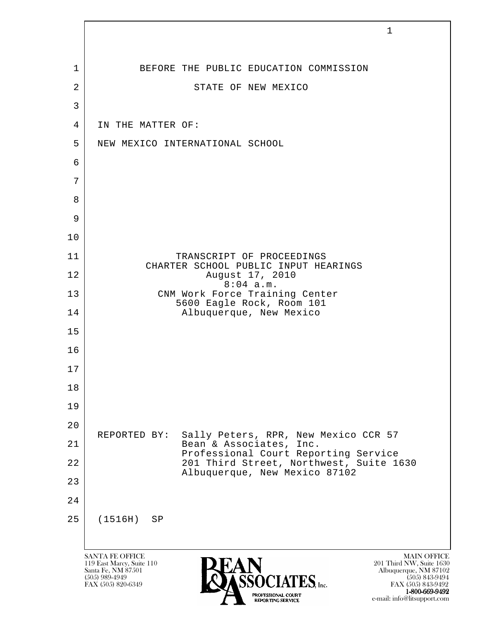|                | $\mathbf 1$                                                                                                                                                                                                                                                                |
|----------------|----------------------------------------------------------------------------------------------------------------------------------------------------------------------------------------------------------------------------------------------------------------------------|
|                |                                                                                                                                                                                                                                                                            |
| 1              | BEFORE THE PUBLIC EDUCATION COMMISSION                                                                                                                                                                                                                                     |
| $\overline{2}$ | STATE OF NEW MEXICO                                                                                                                                                                                                                                                        |
| $\mathfrak{Z}$ |                                                                                                                                                                                                                                                                            |
| 4              | IN THE MATTER OF:                                                                                                                                                                                                                                                          |
| 5              | NEW MEXICO INTERNATIONAL SCHOOL                                                                                                                                                                                                                                            |
| 6              |                                                                                                                                                                                                                                                                            |
| 7              |                                                                                                                                                                                                                                                                            |
| 8<br>9         |                                                                                                                                                                                                                                                                            |
| 10             |                                                                                                                                                                                                                                                                            |
| 11             | TRANSCRIPT OF PROCEEDINGS                                                                                                                                                                                                                                                  |
| 12             | CHARTER SCHOOL PUBLIC INPUT HEARINGS<br>August 17, 2010                                                                                                                                                                                                                    |
| 13             | $8:04$ a.m.<br>CNM Work Force Training Center                                                                                                                                                                                                                              |
| 14             | 5600 Eagle Rock, Room 101<br>Albuquerque, New Mexico                                                                                                                                                                                                                       |
| 15             |                                                                                                                                                                                                                                                                            |
| 16             |                                                                                                                                                                                                                                                                            |
| 17             |                                                                                                                                                                                                                                                                            |
| 18             |                                                                                                                                                                                                                                                                            |
| 19             |                                                                                                                                                                                                                                                                            |
| 20             |                                                                                                                                                                                                                                                                            |
| 21             | Sally Peters, RPR, New Mexico CCR 57<br>REPORTED BY:<br>Bean & Associates, Inc.<br>Professional Court Reporting Service                                                                                                                                                    |
| 22             | 201 Third Street, Northwest, Suite 1630<br>Albuquerque, New Mexico 87102                                                                                                                                                                                                   |
| 23             |                                                                                                                                                                                                                                                                            |
| 24             |                                                                                                                                                                                                                                                                            |
| 25             | (1516H)<br>SP                                                                                                                                                                                                                                                              |
|                |                                                                                                                                                                                                                                                                            |
|                | <b>SANTA FE OFFICE</b><br><b>MAIN OFFICE</b><br>201 Third NW, Suite 1630<br>119 East Marcy, Suite 110<br>Santa Fe, NM 87501<br>Albuquerque, NM 87102<br>$(505)$ 989-4949<br>$(505)$ 843-9494<br>$TES$ , Inc.<br>FAX (505) 820-6349<br>FAX (505) 843-9492<br>1-800-669-9492 |

e-mail: info@litsupport.com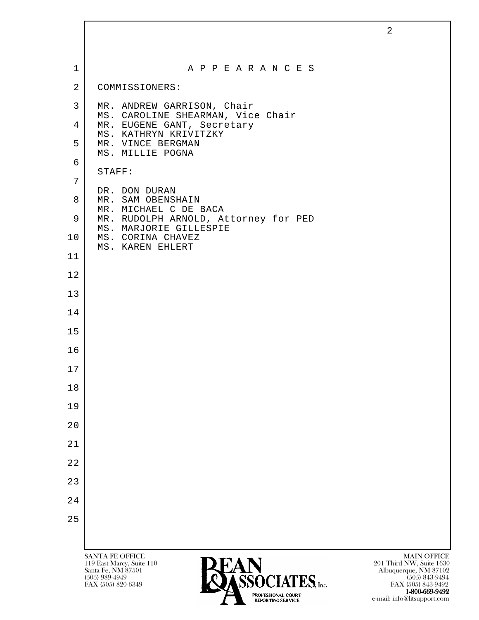| $\mathbf 1$    | A P P E A R A N C E S                                                                    |                                                                         |
|----------------|------------------------------------------------------------------------------------------|-------------------------------------------------------------------------|
| $\overline{2}$ | COMMISSIONERS:                                                                           |                                                                         |
| 3              | MR. ANDREW GARRISON, Chair                                                               |                                                                         |
| 4              | MS. CAROLINE SHEARMAN, Vice Chair<br>MR. EUGENE GANT, Secretary                          |                                                                         |
| 5              | MS. KATHRYN KRIVITZKY<br>MR. VINCE BERGMAN                                               |                                                                         |
| 6              | MS. MILLIE POGNA<br>STAFF:                                                               |                                                                         |
| 7              |                                                                                          |                                                                         |
| 8              | DR. DON DURAN<br>MR. SAM OBENSHAIN<br>MR. MICHAEL C DE BACA                              |                                                                         |
| 9              | MR. RUDOLPH ARNOLD, Attorney for PED<br>MS. MARJORIE GILLESPIE                           |                                                                         |
| 10             | MS. CORINA CHAVEZ<br>MS. KAREN EHLERT                                                    |                                                                         |
| 11             |                                                                                          |                                                                         |
| 12             |                                                                                          |                                                                         |
| 13             |                                                                                          |                                                                         |
| 14             |                                                                                          |                                                                         |
| 15             |                                                                                          |                                                                         |
| 16             |                                                                                          |                                                                         |
| 17             |                                                                                          |                                                                         |
| 18             |                                                                                          |                                                                         |
| 19             |                                                                                          |                                                                         |
| 20             |                                                                                          |                                                                         |
| 21             |                                                                                          |                                                                         |
| 22             |                                                                                          |                                                                         |
| 23             |                                                                                          |                                                                         |
| 24             |                                                                                          |                                                                         |
| 25             |                                                                                          |                                                                         |
|                |                                                                                          |                                                                         |
|                | <b>SANTA FE OFFICE</b><br><b>PEAN</b><br>119 East Marcy, Suite 110<br>Santa Fe, NM 87501 | <b>MAIN OFFICE</b><br>201 Third NW, Suite 1630<br>Albuquerque, NM 87102 |

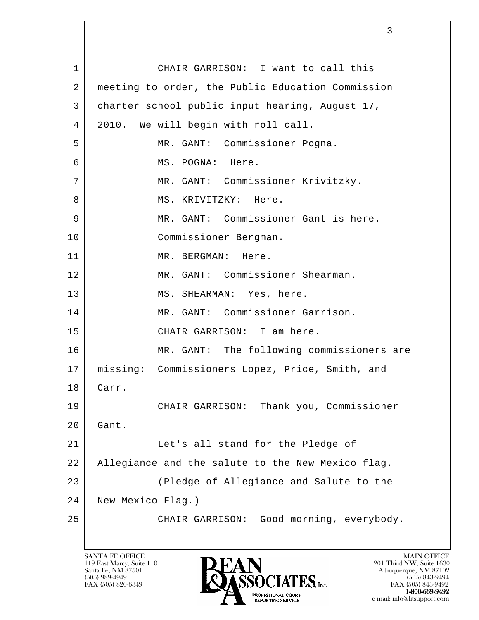l 1 CHAIR GARRISON: I want to call this 2 meeting to order, the Public Education Commission 3 charter school public input hearing, August 17, 4 2010. We will begin with roll call. 5 MR. GANT: Commissioner Pogna. 6 MS. POGNA: Here. 7 | MR. GANT: Commissioner Krivitzky. 8 | MS. KRIVITZKY: Here. 9 MR. GANT: Commissioner Gant is here. 10 Commissioner Bergman. 11 MR. BERGMAN: Here. 12 MR. GANT: Commissioner Shearman. 13 MS. SHEARMAN: Yes, here. 14 MR. GANT: Commissioner Garrison. 15 CHAIR GARRISON: I am here. 16 MR. GANT: The following commissioners are 17 missing: Commissioners Lopez, Price, Smith, and 18 Carr. 19 CHAIR GARRISON: Thank you, Commissioner 20 Gant. 21 | Let's all stand for the Pledge of 22 Allegiance and the salute to the New Mexico flag. 23 (Pledge of Allegiance and Salute to the 24 New Mexico Flag.) 25 CHAIR GARRISON: Good morning, everybody.

119 East Marcy, Suite 110<br>Santa Fe, NM 87501

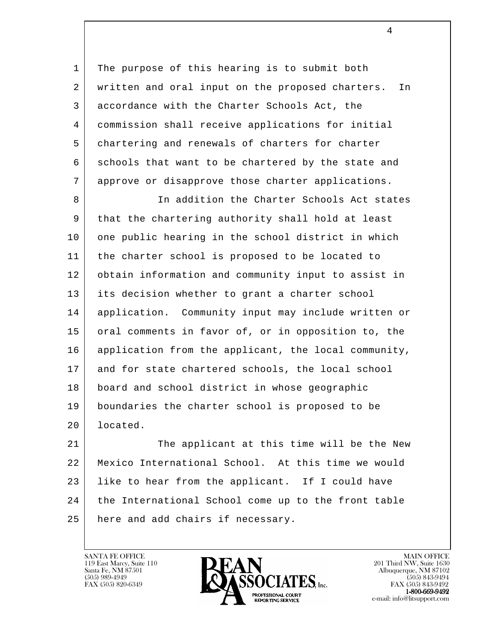1 | The purpose of this hearing is to submit both 2 written and oral input on the proposed charters. In 3 accordance with the Charter Schools Act, the 4 commission shall receive applications for initial 5 chartering and renewals of charters for charter 6 schools that want to be chartered by the state and 7 approve or disapprove those charter applications.

8 In addition the Charter Schools Act states 9 that the chartering authority shall hold at least 10 one public hearing in the school district in which 11 the charter school is proposed to be located to 12 obtain information and community input to assist in 13 its decision whether to grant a charter school 14 application. Community input may include written or 15 oral comments in favor of, or in opposition to, the 16 application from the applicant, the local community, 17 and for state chartered schools, the local school 18 board and school district in whose geographic 19 boundaries the charter school is proposed to be 20 located.

l 21 The applicant at this time will be the New 22 Mexico International School. At this time we would 23 | like to hear from the applicant. If I could have 24 the International School come up to the front table 25 | here and add chairs if necessary.

119 East Marcy, Suite 110<br>Santa Fe, NM 87501



FAX (505) 843-9492 e-mail: info@litsupport.com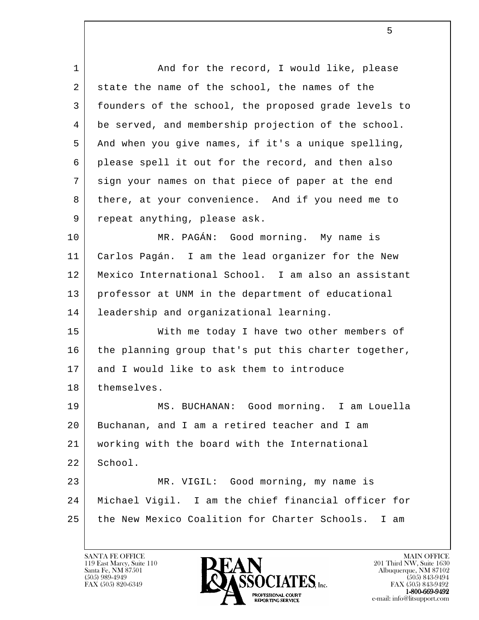l 1 | And for the record, I would like, please 2 state the name of the school, the names of the 3 founders of the school, the proposed grade levels to 4 be served, and membership projection of the school. 5 And when you give names, if it's a unique spelling, 6 please spell it out for the record, and then also 7 sign your names on that piece of paper at the end 8 there, at your convenience. And if you need me to 9 repeat anything, please ask. 10 MR. PAGÁN: Good morning. My name is 11 Carlos Pagán. I am the lead organizer for the New 12 Mexico International School. I am also an assistant 13 professor at UNM in the department of educational 14 leadership and organizational learning. 15 With me today I have two other members of 16 the planning group that's put this charter together, 17 and I would like to ask them to introduce 18 | themselves. 19 MS. BUCHANAN: Good morning. I am Louella 20 Buchanan, and I am a retired teacher and I am 21 working with the board with the International 22 School. 23 | MR. VIGIL: Good morning, my name is 24 Michael Vigil. I am the chief financial officer for 25 the New Mexico Coalition for Charter Schools. I am

5

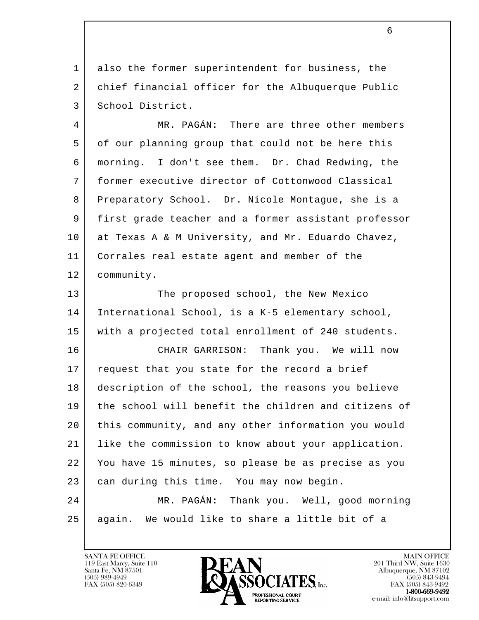1 also the former superintendent for business, the 2 chief financial officer for the Albuquerque Public 3 School District.

 4 MR. PAGÁN: There are three other members 5 of our planning group that could not be here this 6 morning. I don't see them. Dr. Chad Redwing, the 7 former executive director of Cottonwood Classical 8 Preparatory School. Dr. Nicole Montague, she is a 9 first grade teacher and a former assistant professor 10 at Texas A & M University, and Mr. Eduardo Chavez, 11 Corrales real estate agent and member of the 12 community.

13 The proposed school, the New Mexico 14 International School, is a K-5 elementary school, 15 with a projected total enrollment of 240 students.

l 16 CHAIR GARRISON: Thank you. We will now 17 | request that you state for the record a brief 18 description of the school, the reasons you believe 19 the school will benefit the children and citizens of 20 this community, and any other information you would 21 like the commission to know about your application. 22 You have 15 minutes, so please be as precise as you 23 can during this time. You may now begin. 24 MR. PAGÁN: Thank you. Well, good morning

25 again. We would like to share a little bit of a

119 East Marcy, Suite 110<br>Santa Fe, NM 87501

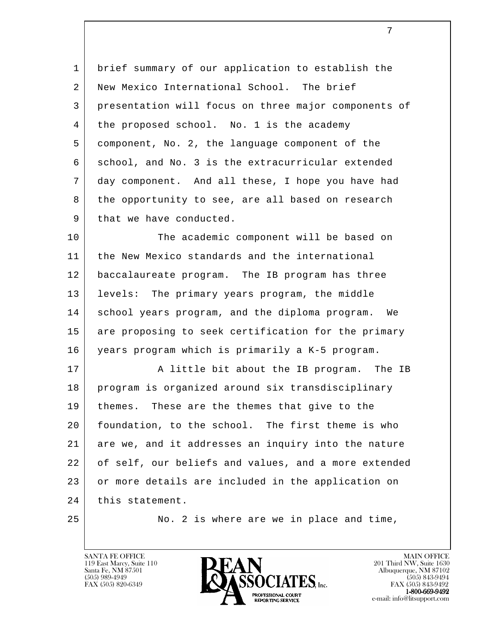1 brief summary of our application to establish the 2 New Mexico International School. The brief 3 presentation will focus on three major components of 4 the proposed school. No. 1 is the academy 5 component, No. 2, the language component of the 6 school, and No. 3 is the extracurricular extended 7 day component. And all these, I hope you have had 8 the opportunity to see, are all based on research 9 that we have conducted.

10 The academic component will be based on 11 | the New Mexico standards and the international 12 baccalaureate program. The IB program has three 13 levels: The primary years program, the middle 14 school years program, and the diploma program. We 15 are proposing to seek certification for the primary 16 years program which is primarily a K-5 program.

l 17 | A little bit about the IB program. The IB 18 program is organized around six transdisciplinary 19 themes. These are the themes that give to the 20 foundation, to the school. The first theme is who 21 are we, and it addresses an inquiry into the nature 22 of self, our beliefs and values, and a more extended 23 or more details are included in the application on 24 this statement.

25 No. 2 is where are we in place and time,

119 East Marcy, Suite 110<br>Santa Fe, NM 87501

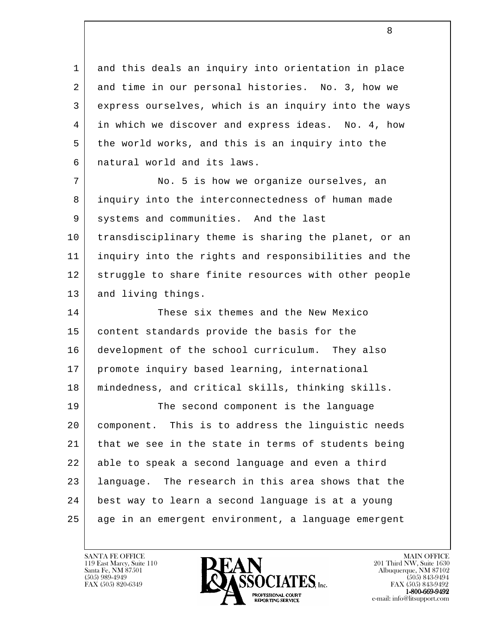l 1 and this deals an inquiry into orientation in place 2 and time in our personal histories. No. 3, how we 3 express ourselves, which is an inquiry into the ways 4 in which we discover and express ideas. No. 4, how 5 the world works, and this is an inquiry into the 6 natural world and its laws. 7 No. 5 is how we organize ourselves, an 8 inquiry into the interconnectedness of human made 9 systems and communities. And the last 10 transdisciplinary theme is sharing the planet, or an 11 inquiry into the rights and responsibilities and the 12 struggle to share finite resources with other people 13 and living things. 14 These six themes and the New Mexico 15 content standards provide the basis for the 16 development of the school curriculum. They also 17 | promote inquiry based learning, international 18 mindedness, and critical skills, thinking skills. 19 The second component is the language 20 component. This is to address the linguistic needs 21 that we see in the state in terms of students being 22 able to speak a second language and even a third 23 language. The research in this area shows that the 24 best way to learn a second language is at a young 25 age in an emergent environment, a language emergent

119 East Marcy, Suite 110<br>Santa Fe, NM 87501



FAX (505) 843-9492 e-mail: info@litsupport.com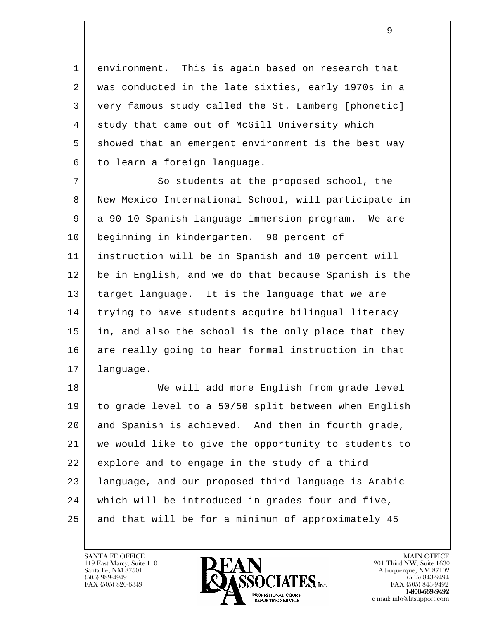1 environment. This is again based on research that 2 was conducted in the late sixties, early 1970s in a 3 very famous study called the St. Lamberg [phonetic] 4 study that came out of McGill University which 5 showed that an emergent environment is the best way 6 to learn a foreign language.

7 So students at the proposed school, the 8 New Mexico International School, will participate in 9 a 90-10 Spanish language immersion program. We are 10 beginning in kindergarten. 90 percent of 11 instruction will be in Spanish and 10 percent will 12 be in English, and we do that because Spanish is the 13 target language. It is the language that we are 14 trying to have students acquire bilingual literacy 15 in, and also the school is the only place that they 16 are really going to hear formal instruction in that 17 language.

l 18 | We will add more English from grade level 19 to grade level to a 50/50 split between when English 20 and Spanish is achieved. And then in fourth grade, 21 we would like to give the opportunity to students to 22 explore and to engage in the study of a third 23 language, and our proposed third language is Arabic 24 which will be introduced in grades four and five, 25 and that will be for a minimum of approximately 45

119 East Marcy, Suite 110<br>Santa Fe, NM 87501

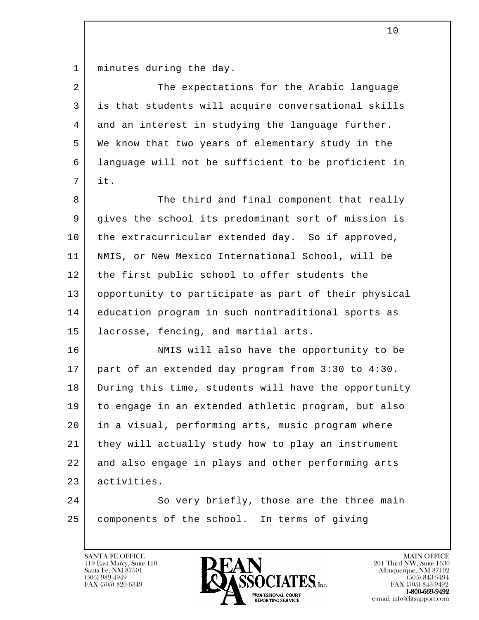1 | minutes during the day.

2 The expectations for the Arabic language 3 is that students will acquire conversational skills 4 and an interest in studying the language further. 5 We know that two years of elementary study in the 6 language will not be sufficient to be proficient in 7 it.

8 The third and final component that really 9 gives the school its predominant sort of mission is 10 the extracurricular extended day. So if approved, 11 NMIS, or New Mexico International School, will be 12 | the first public school to offer students the 13 opportunity to participate as part of their physical 14 education program in such nontraditional sports as 15 lacrosse, fencing, and martial arts.

16 NMIS will also have the opportunity to be 17 part of an extended day program from 3:30 to 4:30. 18 During this time, students will have the opportunity 19 to engage in an extended athletic program, but also 20 in a visual, performing arts, music program where 21 they will actually study how to play an instrument 22 and also engage in plays and other performing arts 23 activities.

l 24 So very briefly, those are the three main 25 components of the school. In terms of giving



FAX (505) 843-9492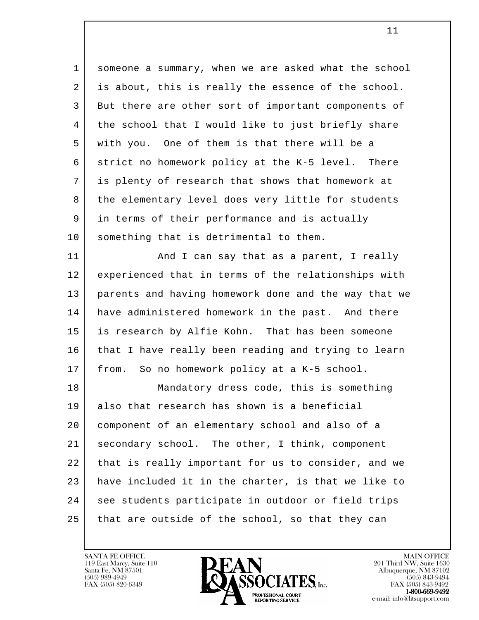l 1 someone a summary, when we are asked what the school 2 is about, this is really the essence of the school. 3 But there are other sort of important components of 4 | the school that I would like to just briefly share 5 with you. One of them is that there will be a 6 strict no homework policy at the K-5 level. There 7 is plenty of research that shows that homework at 8 | the elementary level does very little for students 9 in terms of their performance and is actually 10 something that is detrimental to them. 11 | And I can say that as a parent, I really 12 experienced that in terms of the relationships with 13 parents and having homework done and the way that we 14 have administered homework in the past. And there 15 is research by Alfie Kohn. That has been someone 16 that I have really been reading and trying to learn 17 from. So no homework policy at a K-5 school. 18 Mandatory dress code, this is something 19 also that research has shown is a beneficial 20 component of an elementary school and also of a 21 secondary school. The other, I think, component 22 that is really important for us to consider, and we 23 have included it in the charter, is that we like to 24 | see students participate in outdoor or field trips 25 that are outside of the school, so that they can

 $11$ 

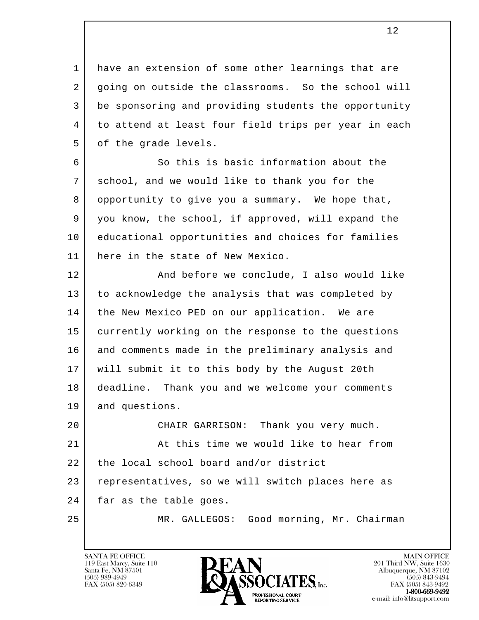1 have an extension of some other learnings that are 2 going on outside the classrooms. So the school will 3 be sponsoring and providing students the opportunity 4 to attend at least four field trips per year in each 5 of the grade levels.

6 So this is basic information about the 7 school, and we would like to thank you for the 8 opportunity to give you a summary. We hope that, 9 you know, the school, if approved, will expand the 10 educational opportunities and choices for families 11 here in the state of New Mexico.

12 | The and before we conclude, I also would like 13 to acknowledge the analysis that was completed by 14 | the New Mexico PED on our application. We are 15 currently working on the response to the questions 16 and comments made in the preliminary analysis and 17 will submit it to this body by the August 20th 18 deadline. Thank you and we welcome your comments 19 and questions. 20 CHAIR GARRISON: Thank you very much.

l 21 At this time we would like to hear from 22 the local school board and/or district 23 representatives, so we will switch places here as 24 far as the table goes.

25 MR. GALLEGOS: Good morning, Mr. Chairman

119 East Marcy, Suite 110<br>Santa Fe, NM 87501

![](_page_11_Picture_6.jpeg)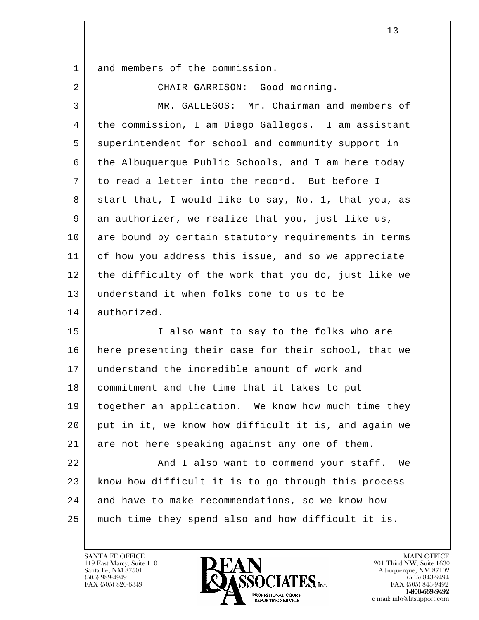1 and members of the commission.

2 CHAIR GARRISON: Good morning.

| 3  | MR. GALLEGOS: Mr. Chairman and members of            |
|----|------------------------------------------------------|
| 4  | the commission, I am Diego Gallegos. I am assistant  |
| 5  | superintendent for school and community support in   |
| 6  | the Albuquerque Public Schools, and I am here today  |
| 7  | to read a letter into the record. But before I       |
| 8  | start that, I would like to say, No. 1, that you, as |
| 9  | an authorizer, we realize that you, just like us,    |
| 10 | are bound by certain statutory requirements in terms |
| 11 | of how you address this issue, and so we appreciate  |
| 12 | the difficulty of the work that you do, just like we |
| 13 | understand it when folks come to us to be            |
| 14 | authorized.                                          |
| 15 | I also want to say to the folks who are              |
| 16 | here presenting their case for their school, that we |
| 17 | understand the incredible amount of work and         |
| 18 | commitment and the time that it takes to put         |
| 19 | together an application. We know how much time they  |
| 20 | put in it, we know how difficult it is, and again we |
| 21 | are not here speaking against any one of them.       |
| 22 | And I also want to commend your staff. We            |
| 23 | know how difficult it is to go through this process  |
| 24 | and have to make recommendations, so we know how     |
| 25 | much time they spend also and how difficult it is.   |

![](_page_12_Picture_4.jpeg)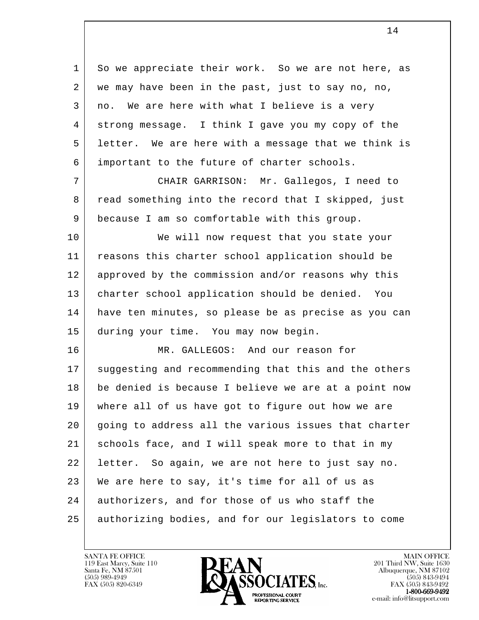1 So we appreciate their work. So we are not here, as 2 | we may have been in the past, just to say no, no, 3 no. We are here with what I believe is a very 4 strong message. I think I gave you my copy of the 5 letter. We are here with a message that we think is 6 important to the future of charter schools. 7 CHAIR GARRISON: Mr. Gallegos, I need to

8 read something into the record that I skipped, just 9 because I am so comfortable with this group.

10 | We will now request that you state your 11 reasons this charter school application should be 12 approved by the commission and/or reasons why this 13 charter school application should be denied. You 14 have ten minutes, so please be as precise as you can 15 during your time. You may now begin.

l 16 MR. GALLEGOS: And our reason for 17 suggesting and recommending that this and the others 18 be denied is because I believe we are at a point now 19 where all of us have got to figure out how we are 20 going to address all the various issues that charter 21 schools face, and I will speak more to that in my 22 letter. So again, we are not here to just say no. 23 We are here to say, it's time for all of us as 24 authorizers, and for those of us who staff the 25 authorizing bodies, and for our legislators to come

119 East Marcy, Suite 110<br>Santa Fe, NM 87501

![](_page_13_Picture_5.jpeg)

FAX (505) 843-9492 e-mail: info@litsupport.com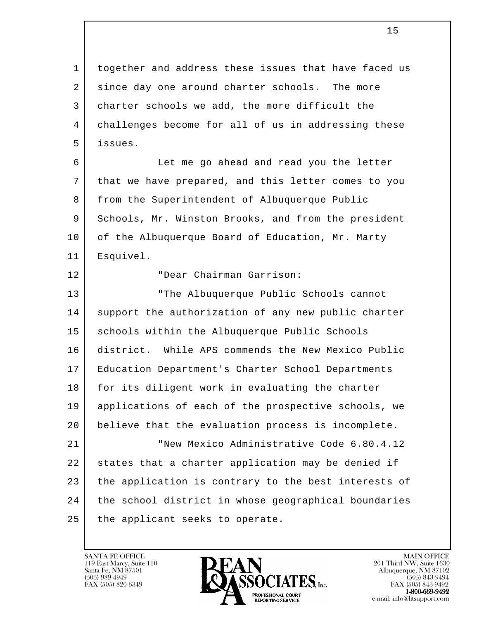1 together and address these issues that have faced us 2 since day one around charter schools. The more 3 charter schools we add, the more difficult the 4 challenges become for all of us in addressing these 5 issues.

 6 Let me go ahead and read you the letter 7 that we have prepared, and this letter comes to you 8 from the Superintendent of Albuquerque Public 9 Schools, Mr. Winston Brooks, and from the president 10 of the Albuquerque Board of Education, Mr. Marty 11 Esquivel.

12 "Dear Chairman Garrison:

l 13 "The Albuquerque Public Schools cannot 14 support the authorization of any new public charter 15 | schools within the Albuquerque Public Schools 16 district. While APS commends the New Mexico Public 17 Education Department's Charter School Departments 18 for its diligent work in evaluating the charter 19 applications of each of the prospective schools, we 20 believe that the evaluation process is incomplete. 21 New Mexico Administrative Code 6.80.4.12 22 states that a charter application may be denied if 23 the application is contrary to the best interests of 24 the school district in whose geographical boundaries 25 | the applicant seeks to operate.

![](_page_14_Picture_5.jpeg)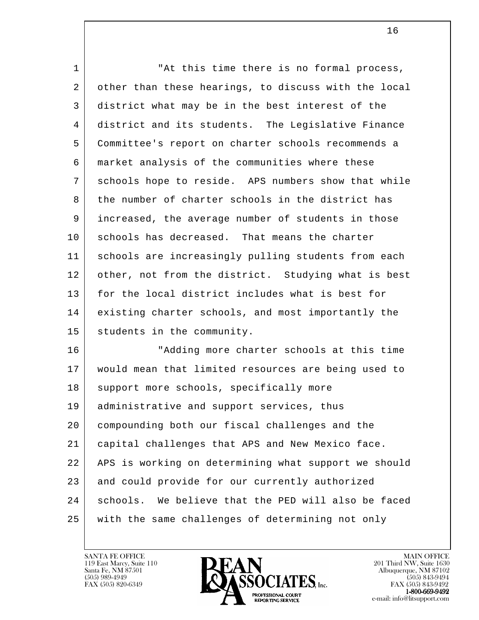| $\mathbf 1$ | "At this time there is no formal process,            |
|-------------|------------------------------------------------------|
| 2           | other than these hearings, to discuss with the local |
| 3           | district what may be in the best interest of the     |
| 4           | district and its students. The Legislative Finance   |
| 5           | Committee's report on charter schools recommends a   |
| 6           | market analysis of the communities where these       |
| 7           | schools hope to reside. APS numbers show that while  |
| 8           | the number of charter schools in the district has    |
| 9           | increased, the average number of students in those   |
| 10          | schools has decreased. That means the charter        |
| 11          | schools are increasingly pulling students from each  |
| 12          | other, not from the district. Studying what is best  |
| 13          | for the local district includes what is best for     |
| 14          | existing charter schools, and most importantly the   |
| 15          | students in the community.                           |
| 16          | "Adding more charter schools at this time            |
| 17          | would mean that limited resources are being used to  |
| 18          | support more schools, specifically more              |
| 19          | administrative and support services, thus            |
| 20          | compounding both our fiscal challenges and the       |
| 21          | capital challenges that APS and New Mexico face.     |
| 22          | APS is working on determining what support we should |
| 23          | and could provide for our currently authorized       |
| 24          | schools. We believe that the PED will also be faced  |
| 25          | with the same challenges of determining not only     |

![](_page_15_Picture_2.jpeg)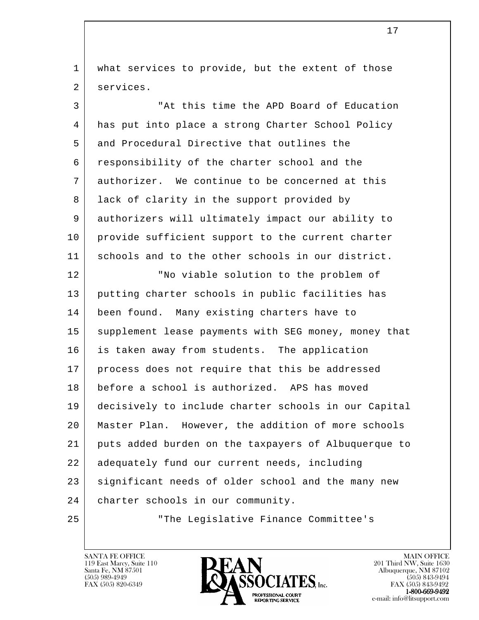1 | what services to provide, but the extent of those 2 services.

l 3 "At this time the APD Board of Education 4 has put into place a strong Charter School Policy 5 and Procedural Directive that outlines the 6 responsibility of the charter school and the 7 authorizer. We continue to be concerned at this 8 | lack of clarity in the support provided by 9 authorizers will ultimately impact our ability to 10 | provide sufficient support to the current charter 11 schools and to the other schools in our district. 12 | The viable solution to the problem of 13 putting charter schools in public facilities has 14 been found. Many existing charters have to 15 | supplement lease payments with SEG money, money that 16 is taken away from students. The application 17 process does not require that this be addressed 18 before a school is authorized. APS has moved 19 decisively to include charter schools in our Capital 20 Master Plan. However, the addition of more schools 21 puts added burden on the taxpayers of Albuquerque to 22 adequately fund our current needs, including 23 significant needs of older school and the many new 24 charter schools in our community. 25 "The Legislative Finance Committee's

119 East Marcy, Suite 110<br>Santa Fe, NM 87501

![](_page_16_Picture_3.jpeg)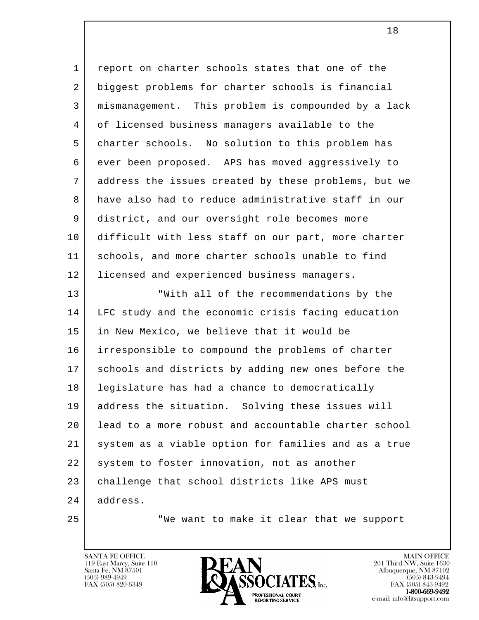l 1 report on charter schools states that one of the 2 biggest problems for charter schools is financial 3 mismanagement. This problem is compounded by a lack 4 of licensed business managers available to the 5 charter schools. No solution to this problem has 6 ever been proposed. APS has moved aggressively to 7 address the issues created by these problems, but we 8 have also had to reduce administrative staff in our 9 district, and our oversight role becomes more 10 difficult with less staff on our part, more charter 11 schools, and more charter schools unable to find 12 | licensed and experienced business managers. 13 | With all of the recommendations by the 14 LFC study and the economic crisis facing education 15 in New Mexico, we believe that it would be 16 irresponsible to compound the problems of charter 17 | schools and districts by adding new ones before the 18 legislature has had a chance to democratically 19 address the situation. Solving these issues will 20 lead to a more robust and accountable charter school 21 system as a viable option for families and as a true 22 | system to foster innovation, not as another 23 | challenge that school districts like APS must 24 address.

25 | We want to make it clear that we support

119 East Marcy, Suite 110<br>Santa Fe, NM 87501

![](_page_17_Picture_4.jpeg)

FAX (505) 843-9492 e-mail: info@litsupport.com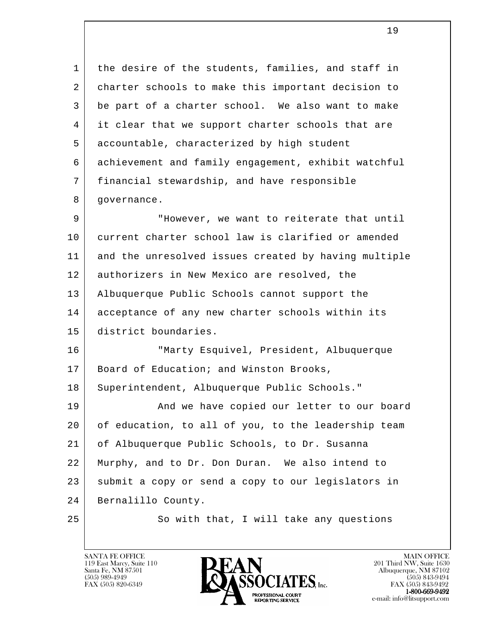1 | the desire of the students, families, and staff in 2 charter schools to make this important decision to 3 be part of a charter school. We also want to make 4 it clear that we support charter schools that are 5 accountable, characterized by high student 6 achievement and family engagement, exhibit watchful 7 financial stewardship, and have responsible 8 | governance.

9 | Thowever, we want to reiterate that until 10 current charter school law is clarified or amended 11 and the unresolved issues created by having multiple 12 authorizers in New Mexico are resolved, the 13 Albuquerque Public Schools cannot support the 14 acceptance of any new charter schools within its 15 district boundaries.

 16 "Marty Esquivel, President, Albuquerque 17 | Board of Education; and Winston Brooks, 18 | Superintendent, Albuquerque Public Schools."

l 19 | And we have copied our letter to our board 20 of education, to all of you, to the leadership team 21 of Albuquerque Public Schools, to Dr. Susanna 22 Murphy, and to Dr. Don Duran. We also intend to 23 | submit a copy or send a copy to our legislators in 24 Bernalillo County.

25 So with that, I will take any questions

119 East Marcy, Suite 110<br>Santa Fe, NM 87501

![](_page_18_Picture_7.jpeg)

FAX (505) 843-9492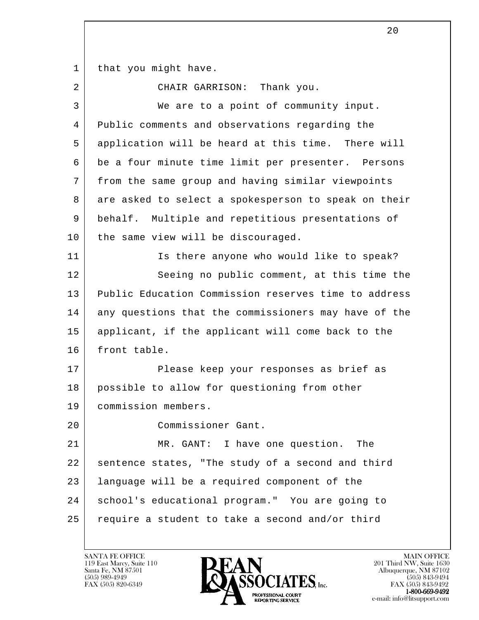1 | that you might have.

2 CHAIR GARRISON: Thank you.

| 3  | We are to a point of community input.                |
|----|------------------------------------------------------|
| 4  | Public comments and observations regarding the       |
| 5  | application will be heard at this time. There will   |
| 6  | be a four minute time limit per presenter. Persons   |
| 7  | from the same group and having similar viewpoints    |
| 8  | are asked to select a spokesperson to speak on their |
| 9  | behalf. Multiple and repetitious presentations of    |
| 10 | the same view will be discouraged.                   |
| 11 | Is there anyone who would like to speak?             |
| 12 | Seeing no public comment, at this time the           |
| 13 | Public Education Commission reserves time to address |
| 14 | any questions that the commissioners may have of the |
| 15 | applicant, if the applicant will come back to the    |
| 16 | front table.                                         |
| 17 | Please keep your responses as brief as               |
| 18 | possible to allow for questioning from other         |
| 19 | commission members.                                  |
| 20 | Commissioner Gant.                                   |
| 21 | MR. GANT: I have one question.<br>The                |
| 22 | sentence states, "The study of a second and third    |
| 23 | language will be a required component of the         |
| 24 | school's educational program." You are going to      |
| 25 | require a student to take a second and/or third      |

![](_page_19_Picture_4.jpeg)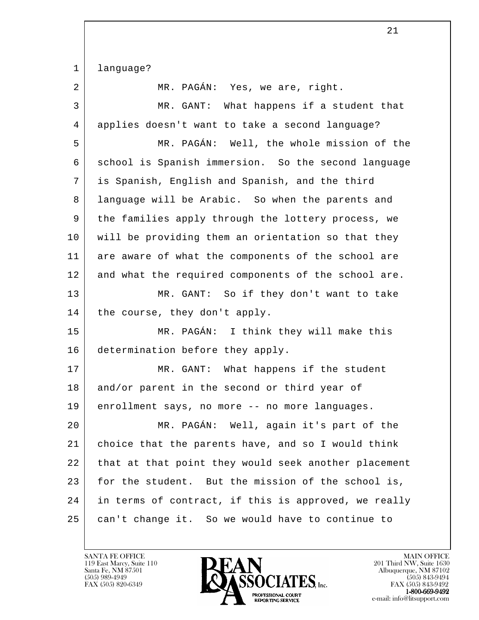l 1 language? 2 MR. PAGÁN: Yes, we are, right. 3 MR. GANT: What happens if a student that 4 applies doesn't want to take a second language? 5 MR. PAGÁN: Well, the whole mission of the 6 | school is Spanish immersion. So the second language 7 is Spanish, English and Spanish, and the third 8 language will be Arabic. So when the parents and 9 the families apply through the lottery process, we 10 will be providing them an orientation so that they 11 are aware of what the components of the school are 12 and what the required components of the school are. 13 MR. GANT: So if they don't want to take 14 | the course, they don't apply. 15 MR. PAGÁN: I think they will make this 16 determination before they apply. 17 | MR. GANT: What happens if the student 18 and/or parent in the second or third year of 19 enrollment says, no more -- no more languages. 20 MR. PAGÁN: Well, again it's part of the 21 choice that the parents have, and so I would think 22 that at that point they would seek another placement 23 for the student. But the mission of the school is, 24 in terms of contract, if this is approved, we really 25 can't change it. So we would have to continue to

119 East Marcy, Suite 110<br>Santa Fe, NM 87501

![](_page_20_Picture_2.jpeg)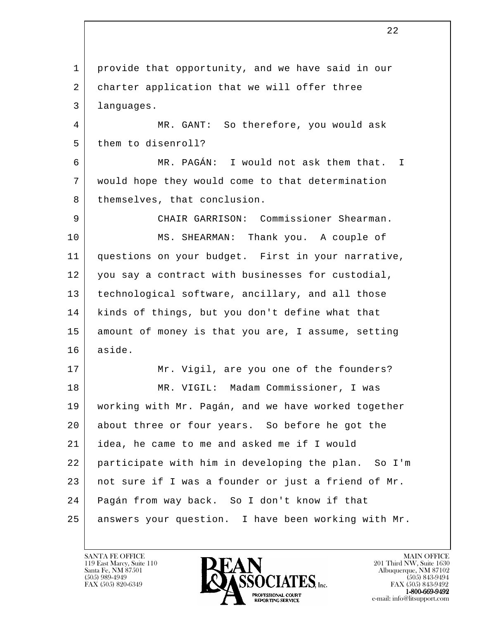l 1 provide that opportunity, and we have said in our 2 charter application that we will offer three 3 languages. 4 MR. GANT: So therefore, you would ask 5 them to disenroll? 6 MR. PAGÁN: I would not ask them that. I 7 would hope they would come to that determination 8 | themselves, that conclusion. 9 CHAIR GARRISON: Commissioner Shearman. 10 MS. SHEARMAN: Thank you. A couple of 11 questions on your budget. First in your narrative, 12 you say a contract with businesses for custodial, 13 technological software, ancillary, and all those 14 kinds of things, but you don't define what that 15 amount of money is that you are, I assume, setting 16 aside. 17 Mr. Vigil, are you one of the founders? 18 MR. VIGIL: Madam Commissioner, I was 19 working with Mr. Pagán, and we have worked together 20 about three or four years. So before he got the 21 idea, he came to me and asked me if I would 22 participate with him in developing the plan. So I'm 23 | not sure if I was a founder or just a friend of Mr. 24 Pagán from way back. So I don't know if that 25 answers your question. I have been working with Mr.

<u>22</u>

![](_page_21_Picture_2.jpeg)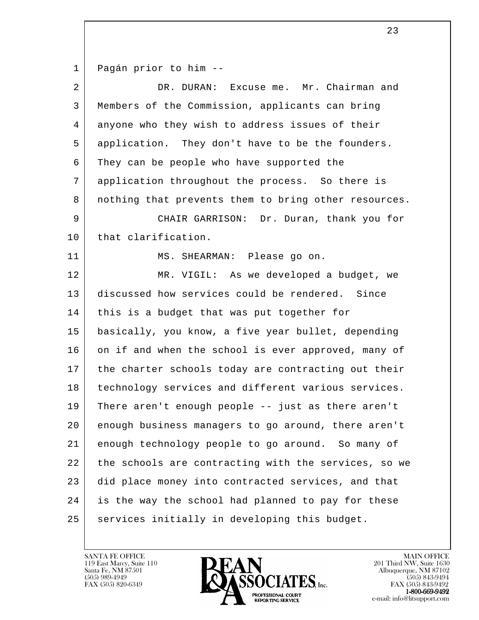1 Pagán prior to him --

| $\overline{2}$ | DR. DURAN: Excuse me. Mr. Chairman and               |
|----------------|------------------------------------------------------|
| 3              | Members of the Commission, applicants can bring      |
| 4              | anyone who they wish to address issues of their      |
| 5              | application. They don't have to be the founders.     |
| 6              | They can be people who have supported the            |
| 7              | application throughout the process. So there is      |
| 8              | nothing that prevents them to bring other resources. |
| 9              | CHAIR GARRISON: Dr. Duran, thank you for             |
| 10             | that clarification.                                  |
| 11             | MS. SHEARMAN: Please go on.                          |
| 12             | MR. VIGIL: As we developed a budget, we              |
| 13             | discussed how services could be rendered. Since      |
| 14             | this is a budget that was put together for           |
| 15             | basically, you know, a five year bullet, depending   |
| 16             | on if and when the school is ever approved, many of  |
| 17             | the charter schools today are contracting out their  |
| 18             | technology services and different various services.  |
| 19             | There aren't enough people -- just as there aren't   |
| 20             | enough business managers to go around, there aren't  |
| 21             | enough technology people to go around. So many of    |
| 22             | the schools are contracting with the services, so we |
| 23             | did place money into contracted services, and that   |
| 24             | is the way the school had planned to pay for these   |
| 25             | services initially in developing this budget.        |

![](_page_22_Picture_3.jpeg)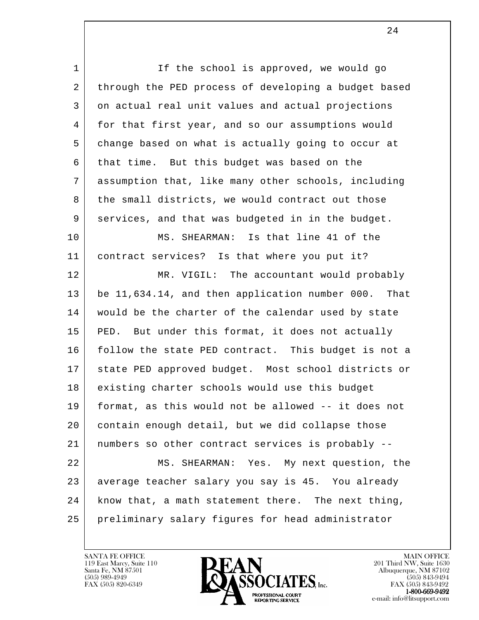l 1 If the school is approved, we would go 2 through the PED process of developing a budget based 3 on actual real unit values and actual projections 4 for that first year, and so our assumptions would 5 change based on what is actually going to occur at 6 that time. But this budget was based on the 7 assumption that, like many other schools, including 8 | the small districts, we would contract out those 9 services, and that was budgeted in in the budget. 10 MS. SHEARMAN: Is that line 41 of the 11 contract services? Is that where you put it? 12 MR. VIGIL: The accountant would probably 13 be 11,634.14, and then application number 000. That 14 | would be the charter of the calendar used by state 15 PED. But under this format, it does not actually 16 follow the state PED contract. This budget is not a 17 state PED approved budget. Most school districts or 18 existing charter schools would use this budget 19 format, as this would not be allowed -- it does not 20 contain enough detail, but we did collapse those 21 numbers so other contract services is probably -- 22 MS. SHEARMAN: Yes. My next question, the 23 average teacher salary you say is 45. You already 24 know that, a math statement there. The next thing, 25 preliminary salary figures for head administrator

119 East Marcy, Suite 110<br>Santa Fe, NM 87501

![](_page_23_Picture_2.jpeg)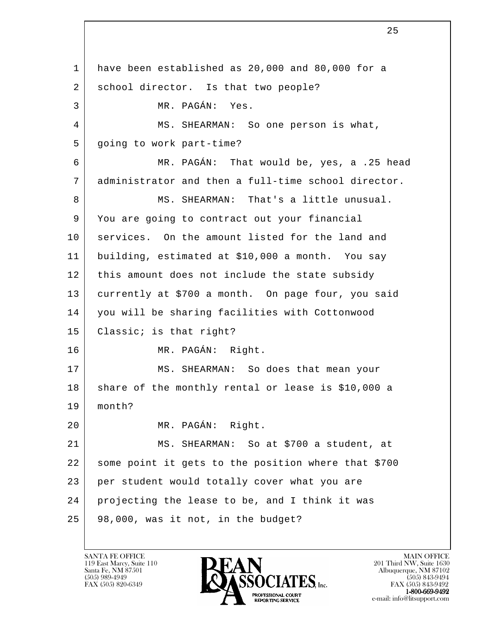l 1 have been established as 20,000 and 80,000 for a 2 school director. Is that two people? 3 MR. PAGÁN: Yes. 4 MS. SHEARMAN: So one person is what, 5 going to work part-time? 6 MR. PAGÁN: That would be, yes, a .25 head 7 administrator and then a full-time school director. 8 MS. SHEARMAN: That's a little unusual. 9 You are going to contract out your financial 10 services. On the amount listed for the land and 11 building, estimated at \$10,000 a month. You say 12 | this amount does not include the state subsidy 13 currently at \$700 a month. On page four, you said 14 you will be sharing facilities with Cottonwood 15 Classic; is that right? 16 MR. PAGÁN: Right. 17 MS. SHEARMAN: So does that mean your 18 share of the monthly rental or lease is \$10,000 a 19 month? 20 MR. PAGÁN: Right. 21 MS. SHEARMAN: So at \$700 a student, at 22 some point it gets to the position where that \$700 23 per student would totally cover what you are 24 projecting the lease to be, and I think it was 25 98,000, was it not, in the budget?

119 East Marcy, Suite 110<br>Santa Fe, NM 87501

![](_page_24_Picture_2.jpeg)

 $FAX (505) 843-9492$ <br>1-800-669-9492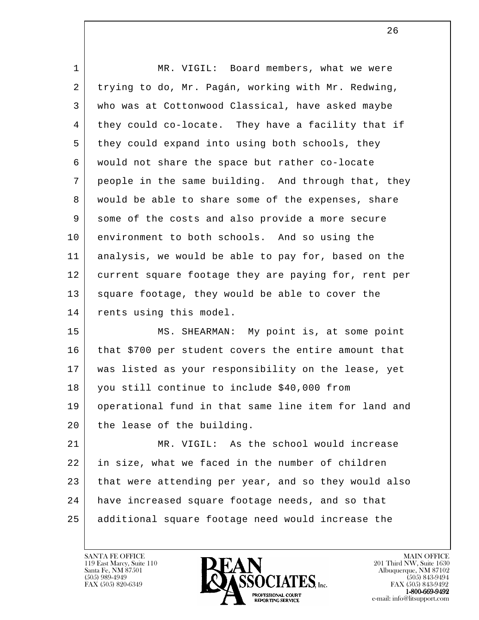| 1  | MR. VIGIL: Board members, what we were               |
|----|------------------------------------------------------|
| 2  | trying to do, Mr. Pagán, working with Mr. Redwing,   |
| 3  | who was at Cottonwood Classical, have asked maybe    |
| 4  | they could co-locate. They have a facility that if   |
| 5  | they could expand into using both schools, they      |
| 6  | would not share the space but rather co-locate       |
| 7  | people in the same building. And through that, they  |
| 8  | would be able to share some of the expenses, share   |
| 9  | some of the costs and also provide a more secure     |
| 10 | environment to both schools. And so using the        |
| 11 | analysis, we would be able to pay for, based on the  |
| 12 | current square footage they are paying for, rent per |
| 13 | square footage, they would be able to cover the      |
| 14 | rents using this model.                              |
| 15 | MS. SHEARMAN: My point is, at some point             |
| 16 | that \$700 per student covers the entire amount that |
| 17 | was listed as your responsibility on the lease, yet  |
| 18 | you still continue to include \$40,000 from          |
| 19 | operational fund in that same line item for land and |
| 20 | the lease of the building.                           |
| 21 | MR. VIGIL: As the school would increase              |
| 22 | in size, what we faced in the number of children     |
| 23 | that were attending per year, and so they would also |
| 24 | have increased square footage needs, and so that     |
| 25 | additional square footage need would increase the    |

![](_page_25_Picture_2.jpeg)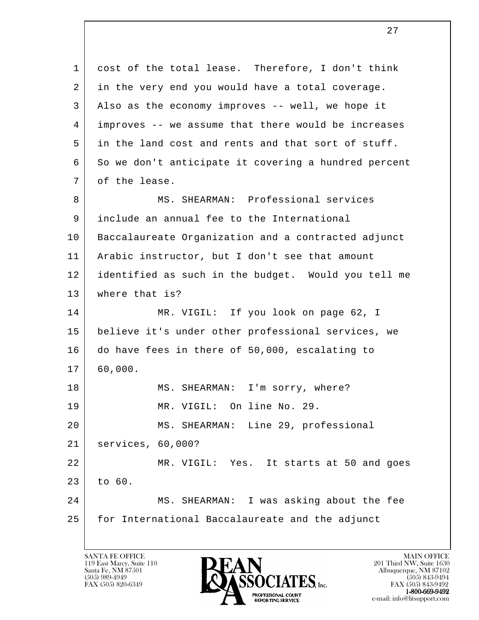l 1 cost of the total lease. Therefore, I don't think 2 in the very end you would have a total coverage. 3 Also as the economy improves -- well, we hope it 4 improves -- we assume that there would be increases 5 in the land cost and rents and that sort of stuff. 6 So we don't anticipate it covering a hundred percent 7 of the lease. 8 MS. SHEARMAN: Professional services 9 include an annual fee to the International 10 Baccalaureate Organization and a contracted adjunct 11 Arabic instructor, but I don't see that amount 12 identified as such in the budget. Would you tell me 13 where that is? 14 MR. VIGIL: If you look on page 62, I 15 believe it's under other professional services, we 16 do have fees in there of 50,000, escalating to 17 60,000. 18 MS. SHEARMAN: I'm sorry, where? 19 MR. VIGIL: On line No. 29. 20 MS. SHEARMAN: Line 29, professional 21 services, 60,000? 22 MR. VIGIL: Yes. It starts at 50 and goes 23 to 60. 24 MS. SHEARMAN: I was asking about the fee 25 for International Baccalaureate and the adjunct

119 East Marcy, Suite 110<br>Santa Fe, NM 87501

![](_page_26_Picture_2.jpeg)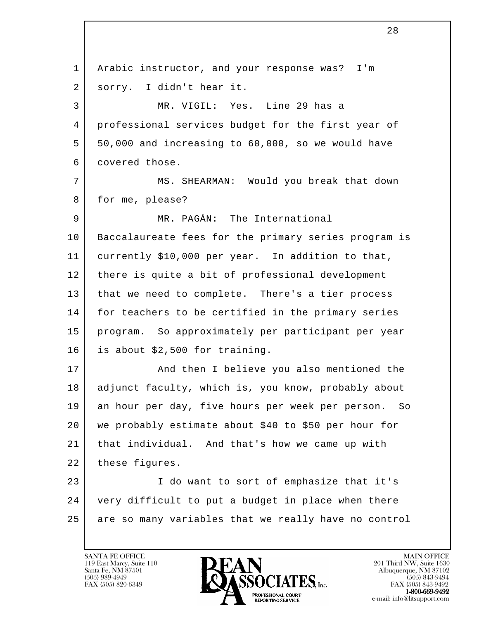l 1 Arabic instructor, and your response was? I'm 2 | sorry. I didn't hear it. 3 MR. VIGIL: Yes. Line 29 has a 4 professional services budget for the first year of 5 50,000 and increasing to 60,000, so we would have 6 covered those. 7 MS. SHEARMAN: Would you break that down 8 for me, please? 9 | MR. PAGÁN: The International 10 Baccalaureate fees for the primary series program is 11 currently \$10,000 per year. In addition to that, 12 there is quite a bit of professional development 13 that we need to complete. There's a tier process 14 for teachers to be certified in the primary series 15 program. So approximately per participant per year 16 is about \$2,500 for training. 17 | And then I believe you also mentioned the 18 | adjunct faculty, which is, you know, probably about 19 an hour per day, five hours per week per person. So 20 we probably estimate about \$40 to \$50 per hour for 21 that individual. And that's how we came up with 22 | these figures. 23 | I do want to sort of emphasize that it's 24 very difficult to put a budget in place when there 25 are so many variables that we really have no control

![](_page_27_Picture_2.jpeg)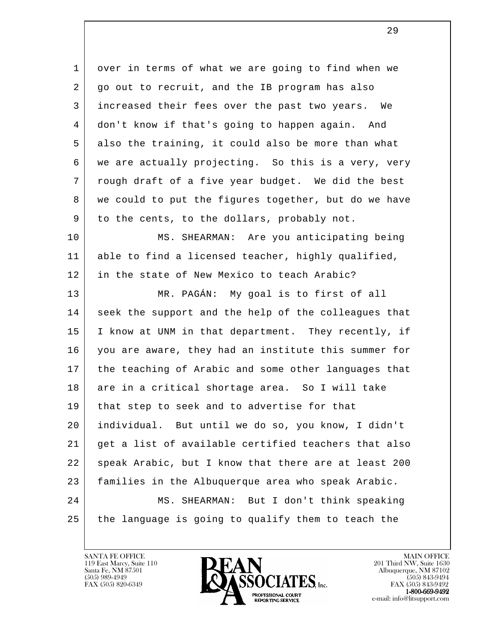l 1 over in terms of what we are going to find when we 2 go out to recruit, and the IB program has also 3 increased their fees over the past two years. We 4 don't know if that's going to happen again. And 5 also the training, it could also be more than what 6 we are actually projecting. So this is a very, very 7 | rough draft of a five year budget. We did the best 8 we could to put the figures together, but do we have 9 to the cents, to the dollars, probably not. 10 MS. SHEARMAN: Are you anticipating being 11 able to find a licensed teacher, highly qualified, 12 in the state of New Mexico to teach Arabic? 13 MR. PAGÁN: My goal is to first of all 14 seek the support and the help of the colleagues that 15 | I know at UNM in that department. They recently, if 16 you are aware, they had an institute this summer for 17 | the teaching of Arabic and some other languages that 18 are in a critical shortage area. So I will take 19 | that step to seek and to advertise for that 20 individual. But until we do so, you know, I didn't 21 get a list of available certified teachers that also 22 | speak Arabic, but I know that there are at least 200 23 families in the Albuquerque area who speak Arabic. 24 MS. SHEARMAN: But I don't think speaking 25 the language is going to qualify them to teach the

![](_page_28_Picture_2.jpeg)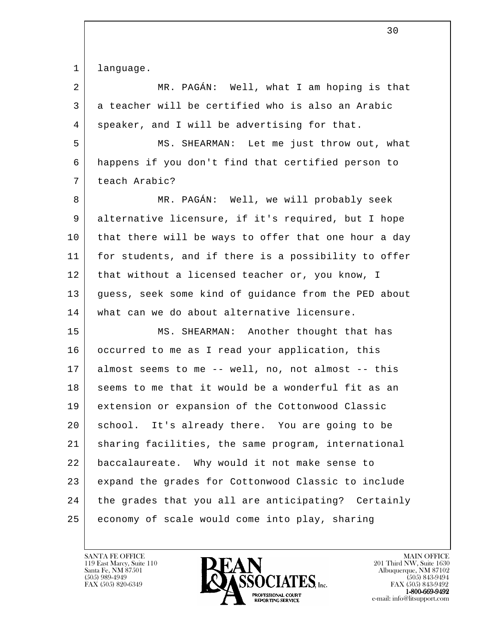1 language.

l 2 MR. PAGÁN: Well, what I am hoping is that 3 a teacher will be certified who is also an Arabic 4 | speaker, and I will be advertising for that. 5 MS. SHEARMAN: Let me just throw out, what 6 happens if you don't find that certified person to 7 teach Arabic? 8 MR. PAGÁN: Well, we will probably seek 9 alternative licensure, if it's required, but I hope 10 that there will be ways to offer that one hour a day 11 for students, and if there is a possibility to offer 12 | that without a licensed teacher or, you know, I 13 guess, seek some kind of guidance from the PED about 14 what can we do about alternative licensure. 15 MS. SHEARMAN: Another thought that has 16 occurred to me as I read your application, this 17 almost seems to me -- well, no, not almost -- this 18 seems to me that it would be a wonderful fit as an 19 extension or expansion of the Cottonwood Classic 20 school. It's already there. You are going to be 21 sharing facilities, the same program, international 22 baccalaureate. Why would it not make sense to 23 expand the grades for Cottonwood Classic to include 24 the grades that you all are anticipating? Certainly 25 economy of scale would come into play, sharing

119 East Marcy, Suite 110<br>Santa Fe, NM 87501

![](_page_29_Picture_3.jpeg)

FAX (505) 843-9492 e-mail: info@litsupport.com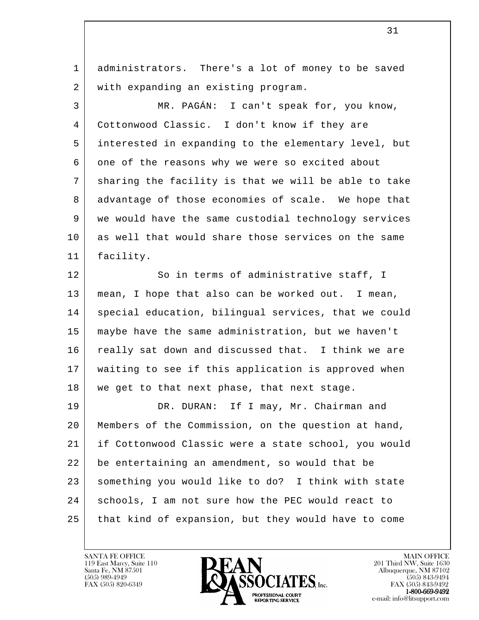1 administrators. There's a lot of money to be saved 2 with expanding an existing program.

 3 MR. PAGÁN: I can't speak for, you know, 4 Cottonwood Classic. I don't know if they are 5 interested in expanding to the elementary level, but 6 one of the reasons why we were so excited about 7 sharing the facility is that we will be able to take 8 advantage of those economies of scale. We hope that 9 we would have the same custodial technology services 10 as well that would share those services on the same 11 facility.

12 So in terms of administrative staff, I 13 mean, I hope that also can be worked out. I mean, 14 | special education, bilingual services, that we could 15 maybe have the same administration, but we haven't 16 really sat down and discussed that. I think we are 17 waiting to see if this application is approved when 18 | we get to that next phase, that next stage.

l 19 DR. DURAN: If I may, Mr. Chairman and 20 Members of the Commission, on the question at hand, 21 if Cottonwood Classic were a state school, you would 22 be entertaining an amendment, so would that be 23 | something you would like to do? I think with state 24 schools, I am not sure how the PEC would react to 25 that kind of expansion, but they would have to come

119 East Marcy, Suite 110<br>Santa Fe, NM 87501

![](_page_30_Picture_5.jpeg)

FAX (505) 843-9492 e-mail: info@litsupport.com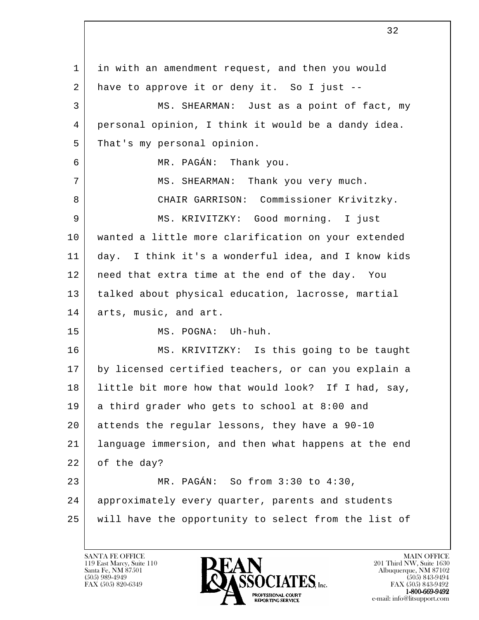l 1 in with an amendment request, and then you would 2 have to approve it or deny it. So I just -- 3 MS. SHEARMAN: Just as a point of fact, my 4 personal opinion, I think it would be a dandy idea. 5 That's my personal opinion. 6 MR. PAGÁN: Thank you. 7 | MS. SHEARMAN: Thank you very much. 8 CHAIR GARRISON: Commissioner Krivitzky. 9 MS. KRIVITZKY: Good morning. I just 10 wanted a little more clarification on your extended 11 day. I think it's a wonderful idea, and I know kids 12 | need that extra time at the end of the day. You 13 talked about physical education, lacrosse, martial 14 arts, music, and art. 15 MS. POGNA: Uh-huh. 16 MS. KRIVITZKY: Is this going to be taught 17 by licensed certified teachers, or can you explain a 18 little bit more how that would look? If I had, say, 19 a third grader who gets to school at 8:00 and 20 attends the regular lessons, they have a 90-10 21 language immersion, and then what happens at the end 22 of the day? 23 MR. PAGÁN: So from 3:30 to 4:30, 24 approximately every quarter, parents and students 25 will have the opportunity to select from the list of

119 East Marcy, Suite 110<br>Santa Fe, NM 87501

![](_page_31_Picture_2.jpeg)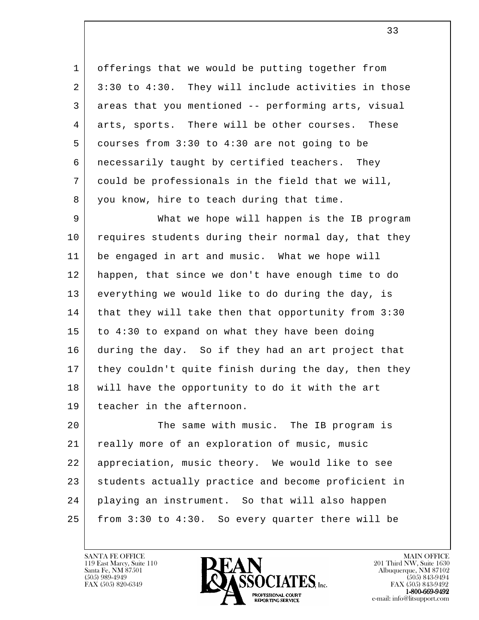1 offerings that we would be putting together from 2 3:30 to 4:30. They will include activities in those 3 areas that you mentioned -- performing arts, visual 4 arts, sports. There will be other courses. These 5 courses from 3:30 to 4:30 are not going to be 6 necessarily taught by certified teachers. They 7 could be professionals in the field that we will, 8 you know, hire to teach during that time.

 9 What we hope will happen is the IB program 10 requires students during their normal day, that they 11 be engaged in art and music. What we hope will 12 happen, that since we don't have enough time to do 13 everything we would like to do during the day, is 14 | that they will take then that opportunity from 3:30 15 to 4:30 to expand on what they have been doing 16 during the day. So if they had an art project that 17 they couldn't quite finish during the day, then they 18 will have the opportunity to do it with the art 19 teacher in the afternoon.

l 20 The same with music. The IB program is 21 really more of an exploration of music, music 22 appreciation, music theory. We would like to see 23 students actually practice and become proficient in 24 playing an instrument. So that will also happen 25 from 3:30 to 4:30. So every quarter there will be

119 East Marcy, Suite 110<br>Santa Fe, NM 87501

![](_page_32_Picture_4.jpeg)

FAX (505) 843-9492 e-mail: info@litsupport.com

 $\overline{\mathbf{33}}$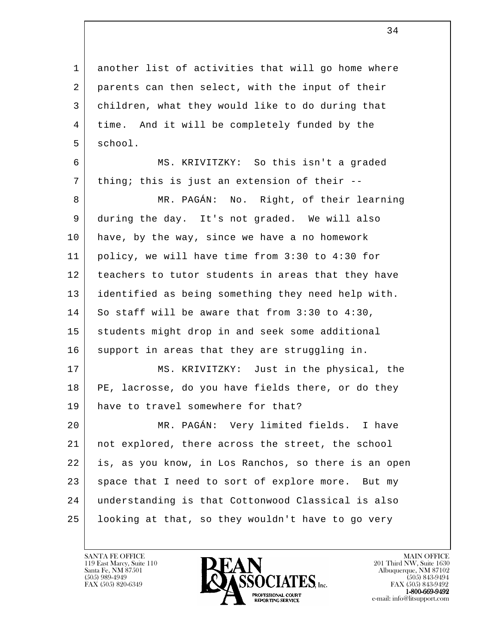1 another list of activities that will go home where 2 parents can then select, with the input of their 3 children, what they would like to do during that 4 | time. And it will be completely funded by the 5 school.

 6 MS. KRIVITZKY: So this isn't a graded  $7$  thing; this is just an extension of their --

8 MR. PAGÁN: No. Right, of their learning 9 during the day. It's not graded. We will also 10 have, by the way, since we have a no homework 11 policy, we will have time from 3:30 to 4:30 for 12 teachers to tutor students in areas that they have 13 identified as being something they need help with. 14 So staff will be aware that from 3:30 to 4:30, 15 students might drop in and seek some additional 16 support in areas that they are struggling in. 17 | MS. KRIVITZKY: Just in the physical, the

 18 PE, lacrosse, do you have fields there, or do they 19 have to travel somewhere for that?

l 20 MR. PAGÁN: Very limited fields. I have 21 not explored, there across the street, the school 22 is, as you know, in Los Ranchos, so there is an open 23 space that I need to sort of explore more. But my 24 understanding is that Cottonwood Classical is also 25 looking at that, so they wouldn't have to go very

![](_page_33_Picture_6.jpeg)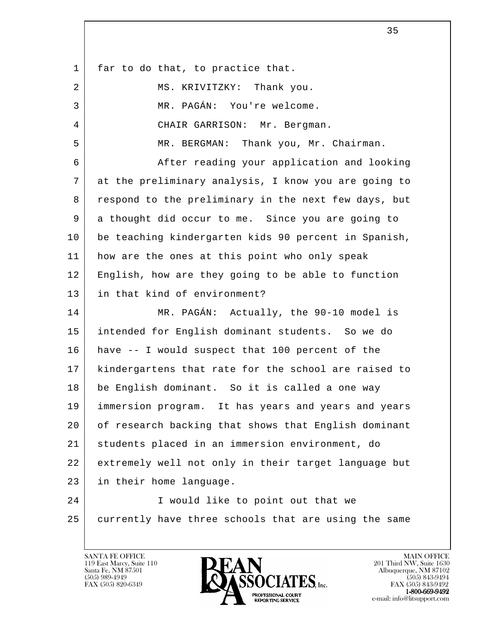l 1 far to do that, to practice that. 2 MS. KRIVITZKY: Thank you. 3 MR. PAGÁN: You're welcome. 4 CHAIR GARRISON: Mr. Bergman. 5 MR. BERGMAN: Thank you, Mr. Chairman. 6 After reading your application and looking 7 at the preliminary analysis, I know you are going to 8 respond to the preliminary in the next few days, but 9 a thought did occur to me. Since you are going to 10 be teaching kindergarten kids 90 percent in Spanish, 11 how are the ones at this point who only speak 12 English, how are they going to be able to function 13 in that kind of environment? 14 MR. PAGÁN: Actually, the 90-10 model is 15 intended for English dominant students. So we do 16 have -- I would suspect that 100 percent of the 17 kindergartens that rate for the school are raised to 18 be English dominant. So it is called a one way 19 immersion program. It has years and years and years 20 of research backing that shows that English dominant 21 students placed in an immersion environment, do 22 extremely well not only in their target language but 23 in their home language. 24 | I would like to point out that we 25 currently have three schools that are using the same

 $35$ 

![](_page_34_Picture_2.jpeg)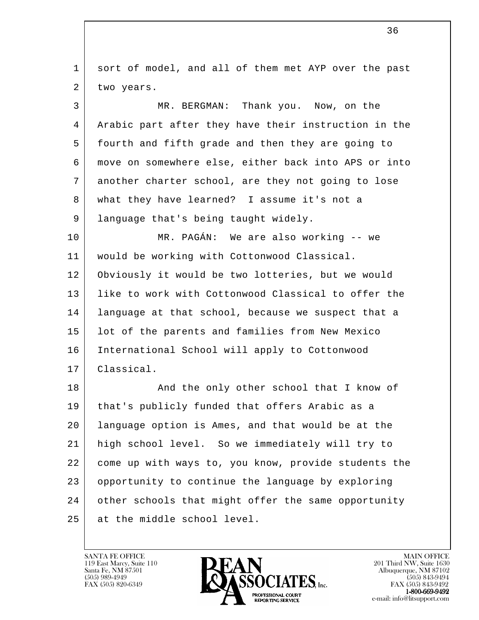l 1 sort of model, and all of them met AYP over the past 2 two years. 3 MR. BERGMAN: Thank you. Now, on the 4 Arabic part after they have their instruction in the 5 fourth and fifth grade and then they are going to 6 move on somewhere else, either back into APS or into 7 another charter school, are they not going to lose 8 what they have learned? I assume it's not a 9 | language that's being taught widely. 10 MR. PAGÁN: We are also working -- we 11 would be working with Cottonwood Classical. 12 Obviously it would be two lotteries, but we would 13 like to work with Cottonwood Classical to offer the 14 language at that school, because we suspect that a 15 lot of the parents and families from New Mexico 16 International School will apply to Cottonwood 17 Classical. 18 | The Mand the only other school that I know of 19 that's publicly funded that offers Arabic as a 20 language option is Ames, and that would be at the 21 high school level. So we immediately will try to 22 come up with ways to, you know, provide students the 23 opportunity to continue the language by exploring 24 other schools that might offer the same opportunity 25 at the middle school level.

119 East Marcy, Suite 110<br>Santa Fe, NM 87501

![](_page_35_Picture_2.jpeg)

FAX (505) 843-9492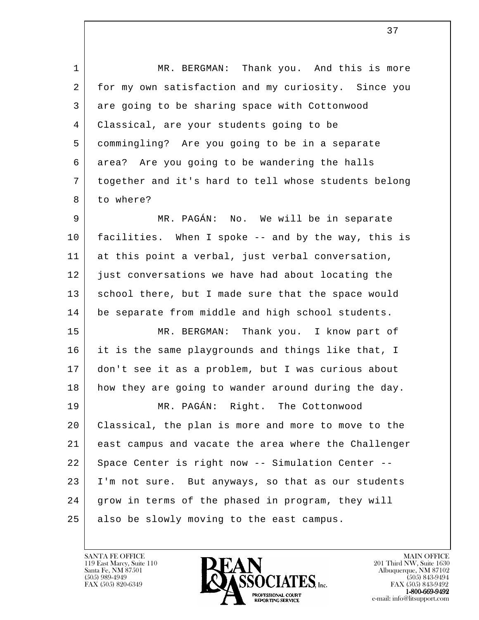1 | MR. BERGMAN: Thank you. And this is more 2 for my own satisfaction and my curiosity. Since you 3 are going to be sharing space with Cottonwood 4 Classical, are your students going to be 5 commingling? Are you going to be in a separate 6 area? Are you going to be wandering the halls 7 together and it's hard to tell whose students belong 8 to where?

 9 MR. PAGÁN: No. We will be in separate 10 facilities. When I spoke -- and by the way, this is 11 at this point a verbal, just verbal conversation, 12 just conversations we have had about locating the 13 school there, but I made sure that the space would 14 be separate from middle and high school students.

 15 MR. BERGMAN: Thank you. I know part of 16 it is the same playgrounds and things like that, I 17 don't see it as a problem, but I was curious about 18 how they are going to wander around during the day.

l 19 MR. PAGÁN: Right. The Cottonwood 20 Classical, the plan is more and more to move to the 21 east campus and vacate the area where the Challenger 22 Space Center is right now -- Simulation Center --23 | I'm not sure. But anyways, so that as our students 24 grow in terms of the phased in program, they will 25 also be slowly moving to the east campus.

119 East Marcy, Suite 110<br>Santa Fe, NM 87501

![](_page_36_Picture_5.jpeg)

FAX (505) 843-9492 e-mail: info@litsupport.com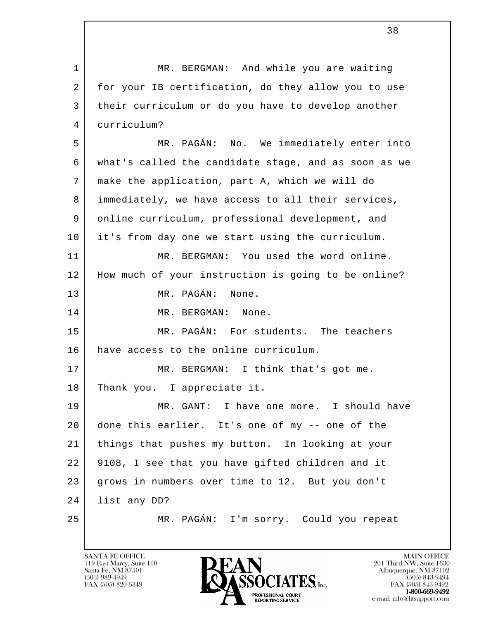l 1 | MR. BERGMAN: And while you are waiting 2 for your IB certification, do they allow you to use 3 their curriculum or do you have to develop another 4 curriculum? 5 MR. PAGÁN: No. We immediately enter into 6 what's called the candidate stage, and as soon as we 7 make the application, part A, which we will do 8 immediately, we have access to all their services, 9 online curriculum, professional development, and 10 it's from day one we start using the curriculum. 11 MR. BERGMAN: You used the word online. 12 How much of your instruction is going to be online? 13 MR. PAGÁN: None. 14 MR. BERGMAN: None. 15 MR. PAGÁN: For students. The teachers 16 have access to the online curriculum. 17 MR. BERGMAN: I think that's got me. 18 Thank you. I appreciate it. 19 MR. GANT: I have one more. I should have 20 done this earlier. It's one of my -- one of the 21 things that pushes my button. In looking at your 22 9108, I see that you have gifted children and it 23 grows in numbers over time to 12. But you don't 24 list any DD? 25 MR. PAGÁN: I'm sorry. Could you repeat

38

![](_page_37_Picture_2.jpeg)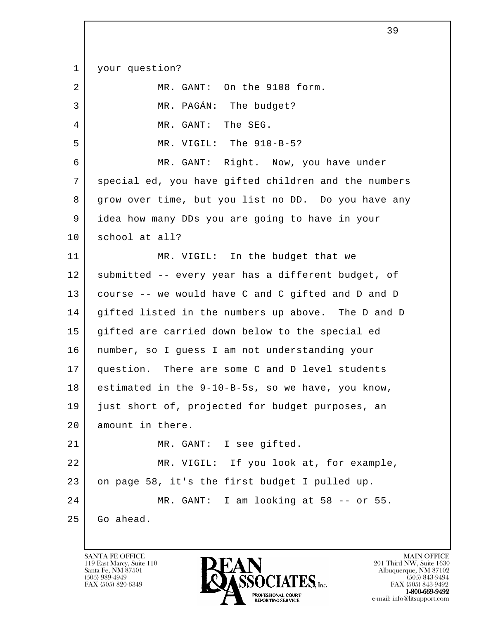l 1 your question? 2 MR. GANT: On the 9108 form. 3 | MR. PAGÁN: The budget? 4 MR. GANT: The SEG. 5 MR. VIGIL: The 910-B-5? 6 MR. GANT: Right. Now, you have under 7 | special ed, you have gifted children and the numbers 8 grow over time, but you list no DD. Do you have any 9 idea how many DDs you are going to have in your 10 school at all? 11 | MR. VIGIL: In the budget that we 12 | submitted -- every year has a different budget, of 13 course -- we would have C and C gifted and D and D 14 gifted listed in the numbers up above. The D and D 15 gifted are carried down below to the special ed 16 number, so I guess I am not understanding your 17 question. There are some C and D level students 18 estimated in the 9-10-B-5s, so we have, you know, 19 just short of, projected for budget purposes, an 20 amount in there. 21 MR. GANT: I see gifted. 22 MR. VIGIL: If you look at, for example, 23 on page 58, it's the first budget I pulled up. 24 MR. GANT: I am looking at 58 -- or 55. 25 Go ahead.

 $\sim$  39

119 East Marcy, Suite 110<br>Santa Fe, NM 87501

![](_page_38_Picture_2.jpeg)

 $FAX (505) 843-9492$ <br>1-800-669-9492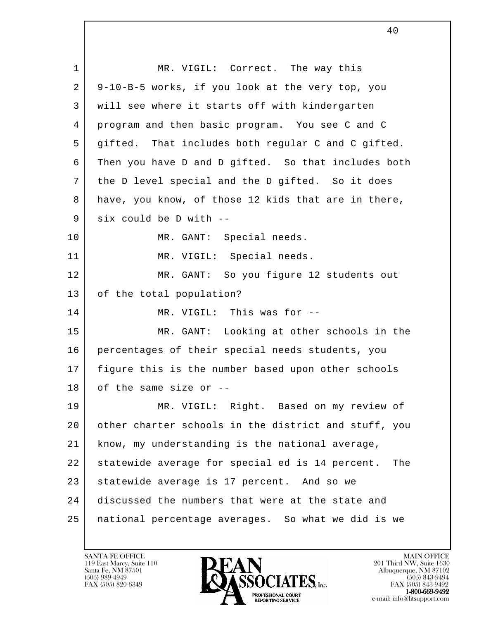| $\mathbf{1}$ | MR. VIGIL: Correct. The way this                       |
|--------------|--------------------------------------------------------|
| 2            | 9-10-B-5 works, if you look at the very top, you       |
| 3            | will see where it starts off with kindergarten         |
| 4            | program and then basic program. You see C and C        |
| 5            | gifted. That includes both regular C and C gifted.     |
| 6            | Then you have D and D gifted. So that includes both    |
| 7            | the D level special and the D gifted. So it does       |
| 8            | have, you know, of those 12 kids that are in there,    |
| 9            | six could be D with --                                 |
| 10           | MR. GANT: Special needs.                               |
| 11           | MR. VIGIL: Special needs.                              |
| 12           | MR. GANT: So you figure 12 students out                |
| 13           | of the total population?                               |
| 14           | MR. VIGIL: This was for --                             |
| 15           | MR. GANT: Looking at other schools in the              |
| 16           | percentages of their special needs students, you       |
| 17           | figure this is the number based upon other schools     |
| 18           | of the same size or                                    |
| 19           | MR. VIGIL: Right. Based on my review of                |
| 20           | other charter schools in the district and stuff, you   |
| 21           | know, my understanding is the national average,        |
| 22           | statewide average for special ed is 14 percent.<br>The |
| 23           | statewide average is 17 percent. And so we             |
| 24           | discussed the numbers that were at the state and       |
| 25           | national percentage averages. So what we did is we     |
|              |                                                        |

![](_page_39_Picture_2.jpeg)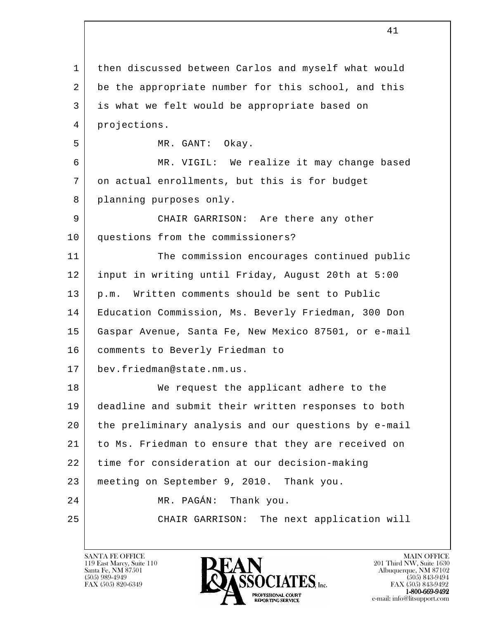l 1 | then discussed between Carlos and myself what would 2 be the appropriate number for this school, and this 3 is what we felt would be appropriate based on 4 projections. 5 MR. GANT: Okay. 6 MR. VIGIL: We realize it may change based 7 on actual enrollments, but this is for budget 8 planning purposes only. 9 CHAIR GARRISON: Are there any other 10 questions from the commissioners? 11 The commission encourages continued public 12 input in writing until Friday, August 20th at 5:00 13 p.m. Written comments should be sent to Public 14 Education Commission, Ms. Beverly Friedman, 300 Don 15 Gaspar Avenue, Santa Fe, New Mexico 87501, or e-mail 16 comments to Beverly Friedman to 17 bev.friedman@state.nm.us. 18 We request the applicant adhere to the 19 deadline and submit their written responses to both 20 the preliminary analysis and our questions by e-mail 21 to Ms. Friedman to ensure that they are received on 22 time for consideration at our decision-making 23 meeting on September 9, 2010. Thank you. 24 MR. PAGÁN: Thank you. 25 CHAIR GARRISON: The next application will

41

![](_page_40_Picture_2.jpeg)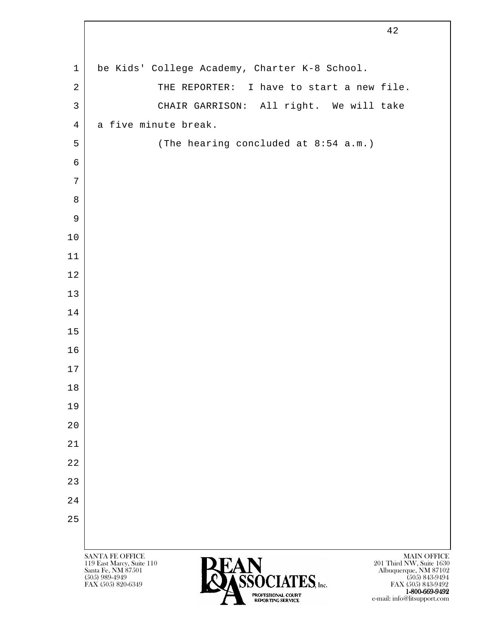|                | 42                                                                                                                                                                |
|----------------|-------------------------------------------------------------------------------------------------------------------------------------------------------------------|
| $\mathbf{1}$   | be Kids' College Academy, Charter K-8 School.                                                                                                                     |
|                |                                                                                                                                                                   |
| $\sqrt{2}$     | THE REPORTER: I have to start a new file.                                                                                                                         |
| $\mathfrak{Z}$ | CHAIR GARRISON: All right. We will take                                                                                                                           |
| $\overline{4}$ | a five minute break.                                                                                                                                              |
| 5              | (The hearing concluded at 8:54 a.m.)                                                                                                                              |
| 6<br>7         |                                                                                                                                                                   |
| 8              |                                                                                                                                                                   |
| 9              |                                                                                                                                                                   |
| $10$           |                                                                                                                                                                   |
| 11             |                                                                                                                                                                   |
| 12             |                                                                                                                                                                   |
| 13             |                                                                                                                                                                   |
| 14             |                                                                                                                                                                   |
| 15             |                                                                                                                                                                   |
| 16             |                                                                                                                                                                   |
| $17$           |                                                                                                                                                                   |
| 18             |                                                                                                                                                                   |
| 19             |                                                                                                                                                                   |
| 20             |                                                                                                                                                                   |
| 21             |                                                                                                                                                                   |
| 22             |                                                                                                                                                                   |
| 23             |                                                                                                                                                                   |
| 24             |                                                                                                                                                                   |
| 25             |                                                                                                                                                                   |
|                |                                                                                                                                                                   |
|                | <b>SANTA FE OFFICE</b><br><b>MAIN OFFICE</b><br>119 East Marcy, Suite 110<br>201 Third NW, Suite 1630                                                             |
|                | <b>EAN</b><br>ASSOCIATES, Inc.<br>Santa Fe, NM 87501<br>Albuquerque, NM 87102<br>$(505)$ 989-4949<br>$(505)$ 843-9494<br>FAX (505) 820-6349<br>FAX (505) 843-9492 |

1-800-669-9492 e-mail: info@litsupport.com